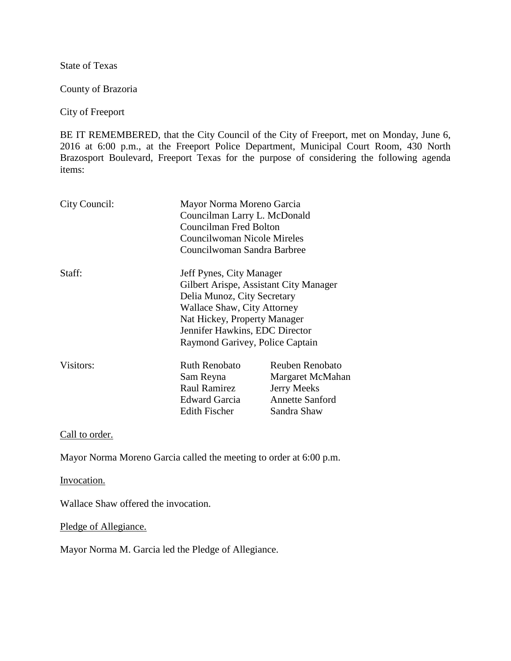State of Texas

County of Brazoria

City of Freeport

BE IT REMEMBERED, that the City Council of the City of Freeport, met on Monday, June 6, 2016 at 6:00 p.m., at the Freeport Police Department, Municipal Court Room, 430 North Brazosport Boulevard, Freeport Texas for the purpose of considering the following agenda items:

| City Council:                                                  | Mayor Norma Moreno Garcia<br>Councilman Larry L. McDonald<br>Councilman Fred Bolton<br>Councilwoman Nicole Mireles<br>Councilwoman Sandra Barbree |                                 |        |                                        |  |
|----------------------------------------------------------------|---------------------------------------------------------------------------------------------------------------------------------------------------|---------------------------------|--------|----------------------------------------|--|
|                                                                |                                                                                                                                                   |                                 |        |                                        |  |
|                                                                |                                                                                                                                                   |                                 | Staff: | Jeff Pynes, City Manager               |  |
|                                                                |                                                                                                                                                   |                                 |        | Gilbert Arispe, Assistant City Manager |  |
|                                                                |                                                                                                                                                   |                                 |        | Delia Munoz, City Secretary            |  |
| <b>Wallace Shaw, City Attorney</b>                             |                                                                                                                                                   |                                 |        |                                        |  |
| Nat Hickey, Property Manager<br>Jennifer Hawkins, EDC Director |                                                                                                                                                   |                                 |        |                                        |  |
|                                                                |                                                                                                                                                   | Raymond Garivey, Police Captain |        |                                        |  |
| Visitors:                                                      | Ruth Renobato                                                                                                                                     | <b>Reuben Renobato</b>          |        |                                        |  |
|                                                                | Sam Reyna                                                                                                                                         | Margaret McMahan                |        |                                        |  |
|                                                                | <b>Raul Ramirez</b>                                                                                                                               | <b>Jerry Meeks</b>              |        |                                        |  |
|                                                                | Edward Garcia                                                                                                                                     | <b>Annette Sanford</b>          |        |                                        |  |
|                                                                | <b>Edith Fischer</b>                                                                                                                              | Sandra Shaw                     |        |                                        |  |

Call to order.

Mayor Norma Moreno Garcia called the meeting to order at 6:00 p.m.

Invocation.

Wallace Shaw offered the invocation.

Pledge of Allegiance.

Mayor Norma M. Garcia led the Pledge of Allegiance.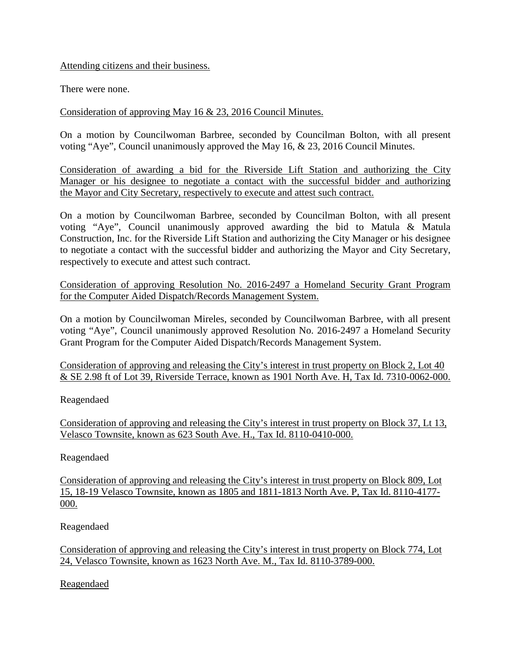Attending citizens and their business.

There were none.

Consideration of approving May 16 & 23, 2016 Council Minutes.

On a motion by Councilwoman Barbree, seconded by Councilman Bolton, with all present voting "Aye", Council unanimously approved the May 16, & 23, 2016 Council Minutes.

Consideration of awarding a bid for the Riverside Lift Station and authorizing the City Manager or his designee to negotiate a contact with the successful bidder and authorizing the Mayor and City Secretary, respectively to execute and attest such contract.

On a motion by Councilwoman Barbree, seconded by Councilman Bolton, with all present voting "Aye", Council unanimously approved awarding the bid to Matula & Matula Construction, Inc. for the Riverside Lift Station and authorizing the City Manager or his designee to negotiate a contact with the successful bidder and authorizing the Mayor and City Secretary, respectively to execute and attest such contract.

Consideration of approving Resolution No. 2016-2497 a Homeland Security Grant Program for the Computer Aided Dispatch/Records Management System.

On a motion by Councilwoman Mireles, seconded by Councilwoman Barbree, with all present voting "Aye", Council unanimously approved Resolution No. 2016-2497 a Homeland Security Grant Program for the Computer Aided Dispatch/Records Management System.

Consideration of approving and releasing the City's interest in trust property on Block 2, Lot 40 & SE 2.98 ft of Lot 39, Riverside Terrace, known as 1901 North Ave. H, Tax Id. 7310-0062-000.

Reagendaed

Consideration of approving and releasing the City's interest in trust property on Block 37, Lt 13, Velasco Townsite, known as 623 South Ave. H., Tax Id. 8110-0410-000.

Reagendaed

Consideration of approving and releasing the City's interest in trust property on Block 809, Lot 15, 18-19 Velasco Townsite, known as 1805 and 1811-1813 North Ave. P, Tax Id. 8110-4177- 000.

Reagendaed

Consideration of approving and releasing the City's interest in trust property on Block 774, Lot 24, Velasco Townsite, known as 1623 North Ave. M., Tax Id. 8110-3789-000.

Reagendaed